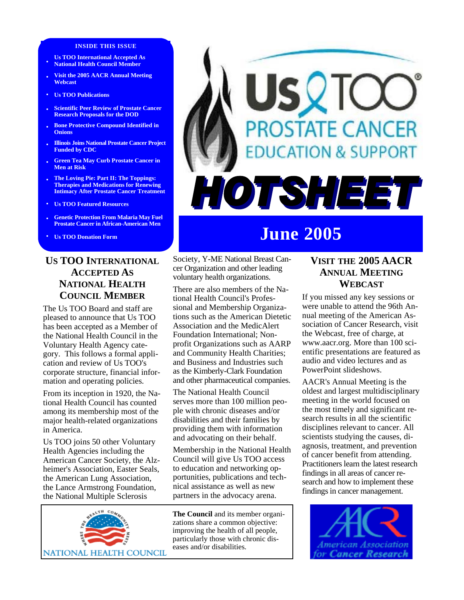#### **INSIDE THIS ISSUE**

- **Us TOO International Accepted As National Health Council Member**
- **• Visit the 2005 AACR Annual Meeting Webcast**
- **• Us TOO Publications**
- **• Scientific Peer Review of Prostate Cancer Research Proposals for the DOD**
- **• Bone Protective Compound Identified in Onions**
- **• Illinois Joins National Prostate Cancer Project Funded by CDC**
- **• Green Tea May Curb Prostate Cancer in Men at Risk**
- **• The Loving Pie: Part II: The Toppings: Therapies and Medications for Renewing Intimacy After Prostate Cancer Treatment**
- **• Us TOO Featured Resources**
- **• Genetic Protection From Malaria May Fuel Prostate Cancer in African-American Men**
- **Us TOO Donation Form**

# **US TOO INTERNATIONAL ACCEPTED AS NATIONAL HEALTH COUNCIL MEMBER**

The Us TOO Board and staff are pleased to announce that Us TOO has been accepted as a Member of the National Health Council in the Voluntary Health Agency category. This follows a formal application and review of Us TOO's corporate structure, financial information and operating policies.

From its inception in 1920, the National Health Council has counted among its membership most of the major health-related organizations in America.

Us TOO joins 50 other Voluntary Health Agencies including the American Cancer Society, the Alzheimer's Association, Easter Seals, the American Lung Association, the Lance Armstrong Foundation, the National Multiple Sclerosis



# **USQTO PROSTATE CANCER DUCATION & SUPPORT** HOTSHEET

# **June 2005**

Society, Y-ME National Breast Cancer Organization and other leading voluntary health organizations.

There are also members of the National Health Council's Professional and Membership Organizations such as the American Dietetic Association and the MedicAlert Foundation International; Nonprofit Organizations such as AARP and Community Health Charities; and Business and Industries such as the Kimberly-Clark Foundation and other pharmaceutical companies.

The National Health Council serves more than 100 million people with chronic diseases and/or disabilities and their families by providing them with information and advocating on their behalf.

Membership in the National Health Council will give Us TOO access to education and networking opportunities, publications and technical assistance as well as new partners in the advocacy arena.

**The Council** and its member organizations share a common objective: improving the health of all people, particularly those with chronic diseases and/or disabilities.

# **VISIT THE 2005 AACR ANNUAL MEETING WEBCAST**

If you missed any key sessions or were unable to attend the 96th Annual meeting of the American Association of Cancer Research, visit the Webcast, free of charge, at www.aacr.org. More than 100 scientific presentations are featured as audio and video lectures and as PowerPoint slideshows.

AACR's Annual Meeting is the oldest and largest multidisciplinary meeting in the world focused on the most timely and significant research results in all the scientific disciplines relevant to cancer. All scientists studying the causes, diagnosis, treatment, and prevention of cancer benefit from attending. Practitioners learn the latest research findings in all areas of cancer research and how to implement these findings in cancer management.

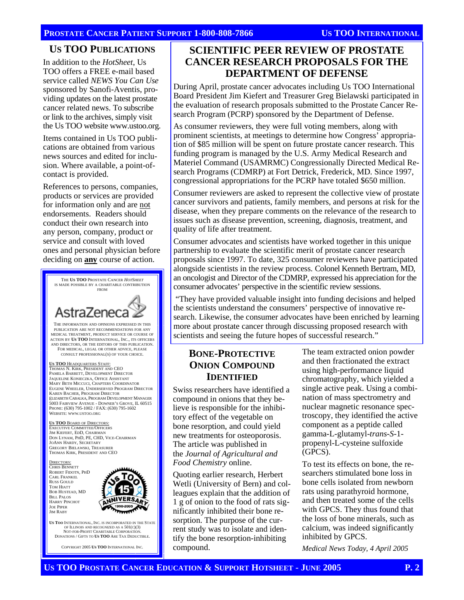#### **PROSTATE CANCER PATIENT SUPPORT 1-800-808-7866 US TOO INTERNATIONAL**

### **US TOO PUBLICATIONS**

In addition to the *HotSheet*, Us TOO offers a FREE e-mail based service called *NEWS You Can Use*  sponsored by Sanofi-Aventis, providing updates on the latest prostate cancer related news. To subscribe or link to the archives, simply visit the Us TOO website www.ustoo.org.

Items contained in Us TOO publications are obtained from various news sources and edited for inclusion. Where available, a point-ofcontact is provided.

References to persons, companies, products or services are provided for information only and are not endorsements. Readers should conduct their own research into any person, company, product or service and consult with loved ones and personal physician before deciding on **any** course of action.



NOT-FOR-PROFIT CHARITABLE CORPORATION DONATIONS / GIFTS TO **US TOO** ARE TAX DEDUCTIBLE.

COPYRIGHT 2005 **US TOO** INTERNATIONAL INC.

# **SCIENTIFIC PEER REVIEW OF PROSTATE CANCER RESEARCH PROPOSALS FOR THE DEPARTMENT OF DEFENSE**

During April, prostate cancer advocates including Us TOO International Board President Jim Kiefert and Treasurer Greg Bielawski participated in the evaluation of research proposals submitted to the Prostate Cancer Research Program (PCRP) sponsored by the Department of Defense.

As consumer reviewers, they were full voting members, along with prominent scientists, at meetings to determine how Congress' appropriation of \$85 million will be spent on future prostate cancer research. This funding program is managed by the U.S. Army Medical Research and Materiel Command (USAMRMC) Congressionally Directed Medical Research Programs (CDMRP) at Fort Detrick, Frederick, MD. Since 1997, congressional appropriations for the PCRP have totaled \$650 million.

Consumer reviewers are asked to represent the collective view of prostate cancer survivors and patients, family members, and persons at risk for the disease, when they prepare comments on the relevance of the research to issues such as disease prevention, screening, diagnosis, treatment, and quality of life after treatment.

Consumer advocates and scientists have worked together in this unique partnership to evaluate the scientific merit of prostate cancer research proposals since 1997. To date, 325 consumer reviewers have participated alongside scientists in the review process. Colonel Kenneth Bertram, MD, an oncologist and Director of the CDMRP, expressed his appreciation for the consumer advocates' perspective in the scientific review sessions.

 "They have provided valuable insight into funding decisions and helped the scientists understand the consumers' perspective of innovative research. Likewise, the consumer advocates have been enriched by learning more about prostate cancer through discussing proposed research with scientists and seeing the future hopes of successful research."

## **BONE-PROTECTIVE ONION COMPOUND IDENTIFIED**

Swiss researchers have identified a compound in onions that they believe is responsible for the inhibitory effect of the vegetable on bone resorption, and could yield new treatments for osteoporosis. The article was published in the *Journal of Agricultural and Food Chemistry* online.

Quoting earlier research, Herbert Wetli (University of Bern) and colleagues explain that the addition of 1 g of onion to the food of rats significantly inhibited their bone resorption. The purpose of the current study was to isolate and identify the bone resorption-inhibiting compound.

The team extracted onion powder and then fractionated the extract using high-performance liquid chromatography, which yielded a single active peak. Using a combination of mass spectrometry and nuclear magnetic resonance spectroscopy, they identified the active component as a peptide called gamma-L-glutamyl-*trans*-*S*-1 propenyl-L-cysteine sulfoxide (GPCS).

To test its effects on bone, the researchers stimulated bone loss in bone cells isolated from newborn rats using parathyroid hormone, and then treated some of the cells with GPCS. They thus found that the loss of bone minerals, such as calcium, was indeed significantly inhibited by GPCS.

*Medical News Today, 4 April 2005*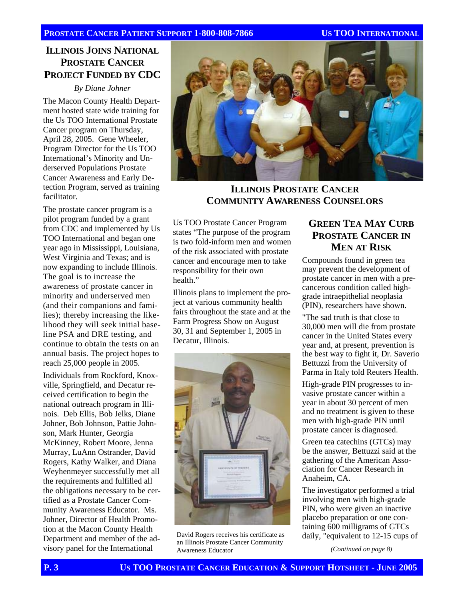#### **PROSTATE CANCER PATIENT SUPPORT 1-800-808-7866 US TOO INTERNATIONAL**

# **ILLINOIS JOINS NATIONAL PROSTATE CANCER PROJECT FUNDED BY CDC**

*By Diane Johner* 

The Macon County Health Department hosted state wide training for the Us TOO International Prostate Cancer program on Thursday, April 28, 2005. Gene Wheeler, Program Director for the Us TOO International's Minority and Underserved Populations Prostate Cancer Awareness and Early Detection Program, served as training facilitator.

The prostate cancer program is a pilot program funded by a grant from CDC and implemented by Us TOO International and began one year ago in Mississippi, Louisiana, West Virginia and Texas; and is now expanding to include Illinois. The goal is to increase the awareness of prostate cancer in minority and underserved men (and their companions and families); thereby increasing the likelihood they will seek initial baseline PSA and DRE testing, and continue to obtain the tests on an annual basis. The project hopes to reach 25,000 people in 2005.

Individuals from Rockford, Knoxville, Springfield, and Decatur received certification to begin the national outreach program in Illinois. Deb Ellis, Bob Jelks, Diane Johner, Bob Johnson, Pattie Johnson, Mark Hunter, Georgia McKinney, Robert Moore, Jenna Murray, LuAnn Ostrander, David Rogers, Kathy Walker, and Diana Weyhenmeyer successfully met all the requirements and fulfilled all the obligations necessary to be certified as a Prostate Cancer Community Awareness Educator. Ms. Johner, Director of Health Promotion at the Macon County Health Department and member of the advisory panel for the International



## **ILLINOIS PROSTATE CANCER COMMUNITY AWARENESS COUNSELORS**

Us TOO Prostate Cancer Program states "The purpose of the program is two fold-inform men and women of the risk associated with prostate cancer and encourage men to take responsibility for their own health."

Illinois plans to implement the project at various community health fairs throughout the state and at the Farm Progress Show on August 30, 31 and September 1, 2005 in Decatur, Illinois.



David Rogers receives his certificate as an Illinois Prostate Cancer Community Awareness Educator

# **GREEN TEA MAY CURB PROSTATE CANCER IN MEN AT RISK**

Compounds found in green tea may prevent the development of prostate cancer in men with a precancerous condition called highgrade intraepithelial neoplasia (PIN), researchers have shown.

"The sad truth is that close to 30,000 men will die from prostate cancer in the United States every year and, at present, prevention is the best way to fight it, Dr. Saverio Bettuzzi from the University of Parma in Italy told Reuters Health.

High-grade PIN progresses to invasive prostate cancer within a year in about 30 percent of men and no treatment is given to these men with high-grade PIN until prostate cancer is diagnosed.

Green tea catechins (GTCs) may be the answer, Bettuzzi said at the gathering of the American Association for Cancer Research in Anaheim, CA.

The investigator performed a trial involving men with high-grade PIN, who were given an inactive placebo preparation or one containing 600 milligrams of GTCs daily, "equivalent to 12-15 cups of

*(Continued on page 8)*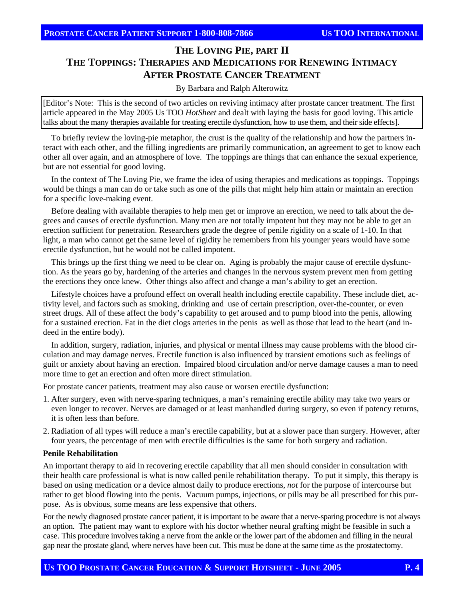# **THE LOVING PIE, PART II THE TOPPINGS: THERAPIES AND MEDICATIONS FOR RENEWING INTIMACY AFTER PROSTATE CANCER TREATMENT**

#### By Barbara and Ralph Alterowitz

[Editor's Note: This is the second of two articles on reviving intimacy after prostate cancer treatment. The first article appeared in the May 2005 Us TOO *HotSheet* and dealt with laying the basis for good loving. This article talks about the many therapies available for treating erectile dysfunction, how to use them, and their side effects].

To briefly review the loving-pie metaphor, the crust is the quality of the relationship and how the partners interact with each other, and the filling ingredients are primarily communication, an agreement to get to know each other all over again, and an atmosphere of love. The toppings are things that can enhance the sexual experience, but are not essential for good loving.

In the context of The Loving Pie, we frame the idea of using therapies and medications as toppings. Toppings would be things a man can do or take such as one of the pills that might help him attain or maintain an erection for a specific love-making event.

Before dealing with available therapies to help men get or improve an erection, we need to talk about the degrees and causes of erectile dysfunction. Many men are not totally impotent but they may not be able to get an erection sufficient for penetration. Researchers grade the degree of penile rigidity on a scale of 1-10. In that light, a man who cannot get the same level of rigidity he remembers from his younger years would have some erectile dysfunction, but he would not be called impotent.

This brings up the first thing we need to be clear on. Aging is probably the major cause of erectile dysfunction. As the years go by, hardening of the arteries and changes in the nervous system prevent men from getting the erections they once knew. Other things also affect and change a man's ability to get an erection.

Lifestyle choices have a profound effect on overall health including erectile capability. These include diet, activity level, and factors such as smoking, drinking and use of certain prescription, over-the-counter, or even street drugs. All of these affect the body's capability to get aroused and to pump blood into the penis, allowing for a sustained erection. Fat in the diet clogs arteries in the penis as well as those that lead to the heart (and indeed in the entire body).

In addition, surgery, radiation, injuries, and physical or mental illness may cause problems with the blood circulation and may damage nerves. Erectile function is also influenced by transient emotions such as feelings of guilt or anxiety about having an erection. Impaired blood circulation and/or nerve damage causes a man to need more time to get an erection and often more direct stimulation.

For prostate cancer patients, treatment may also cause or worsen erectile dysfunction:

- 1. After surgery, even with nerve-sparing techniques, a man's remaining erectile ability may take two years or even longer to recover. Nerves are damaged or at least manhandled during surgery, so even if potency returns, it is often less than before.
- 2. Radiation of all types will reduce a man's erectile capability, but at a slower pace than surgery. However, after four years, the percentage of men with erectile difficulties is the same for both surgery and radiation.

#### **Penile Rehabilitation**

An important therapy to aid in recovering erectile capability that all men should consider in consultation with their health care professional is what is now called penile rehabilitation therapy. To put it simply, this therapy is based on using medication or a device almost daily to produce erections, *not* for the purpose of intercourse but rather to get blood flowing into the penis. Vacuum pumps, injections, or pills may be all prescribed for this purpose. As is obvious, some means are less expensive that others.

For the newly diagnosed prostate cancer patient, it is important to be aware that a nerve-sparing procedure is not always an option. The patient may want to explore with his doctor whether neural grafting might be feasible in such a case. This procedure involves taking a nerve from the ankle or the lower part of the abdomen and filling in the neural gap near the prostate gland, where nerves have been cut. This must be done at the same time as the prostatectomy.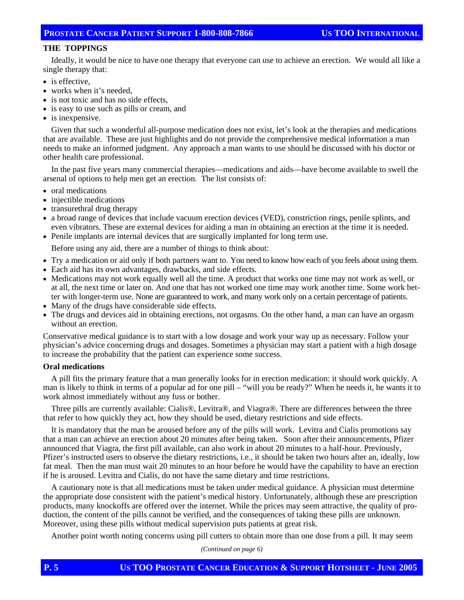#### **THE TOPPINGS**

Ideally, it would be nice to have one therapy that everyone can use to achieve an erection. We would all like a single therapy that:

- is effective.
- works when it's needed.
- is not toxic and has no side effects,
- is easy to use such as pills or cream, and
- is inexpensive.

Given that such a wonderful all-purpose medication does not exist, let's look at the therapies and medications that are available. These are just highlights and do not provide the comprehensive medical information a man needs to make an informed judgment. Any approach a man wants to use should be discussed with his doctor or other health care professional.

In the past five years many commercial therapies—medications and aids—have become available to swell the arsenal of options to help men get an erection. The list consists of:

- oral medications
- injectible medications
- transurethral drug therapy
- a broad range of devices that include vacuum erection devices (VED), constriction rings, penile splints, and even vibrators. These are external devices for aiding a man in obtaining an erection at the time it is needed.
- Penile implants are internal devices that are surgically implanted for long term use.

Before using any aid, there are a number of things to think about:

- Try a medication or aid only if both partners want to. You need to know how each of you feels about using them.
- Each aid has its own advantages, drawbacks, and side effects.
- Medications may not work equally well all the time. A product that works one time may not work as well, or at all, the next time or later on. And one that has not worked one time may work another time. Some work better with longer-term use. None are guaranteed to work, and many work only on a certain percentage of patients.
- Many of the drugs have considerable side effects.
- The drugs and devices aid in obtaining erections, not orgasms. On the other hand, a man can have an orgasm without an erection.

Conservative medical guidance is to start with a low dosage and work your way up as necessary. Follow your physician's advice concerning drugs and dosages. Sometimes a physician may start a patient with a high dosage to increase the probability that the patient can experience some success.

#### **Oral medications**

A pill fits the primary feature that a man generally looks for in erection medication: it should work quickly. A man is likely to think in terms of a popular ad for one pill – "will you be ready?" When he needs it, he wants it to work almost immediately without any fuss or bother.

Three pills are currently available: Cialis®, Levitra®, and Viagra®. There are differences between the three that refer to how quickly they act, how they should be used, dietary restrictions and side effects.

It is mandatory that the man be aroused before any of the pills will work. Levitra and Cialis promotions say that a man can achieve an erection about 20 minutes after being taken. Soon after their announcements, Pfizer announced that Viagra, the first pill available, can also work in about 20 minutes to a half-hour. Previously, Pfizer's instructed users to observe the dietary restrictions, i.e., it should be taken two hours after an, ideally, low fat meal. Then the man must wait 20 minutes to an hour before he would have the capability to have an erection if he is aroused. Levitra and Cialis, do not have the same dietary and time restrictions.

A cautionary note is that all medications must be taken under medical guidance. A physician must determine the appropriate dose consistent with the patient's medical history. Unfortunately, although these are prescription products, many knockoffs are offered over the internet. While the prices may seem attractive, the quality of production, the content of the pills cannot be verified, and the consequences of taking these pills are unknown. Moreover, using these pills without medical supervision puts patients at great risk.

Another point worth noting concerns using pill cutters to obtain more than one dose from a pill. It may seem

*(Continued on page 6)*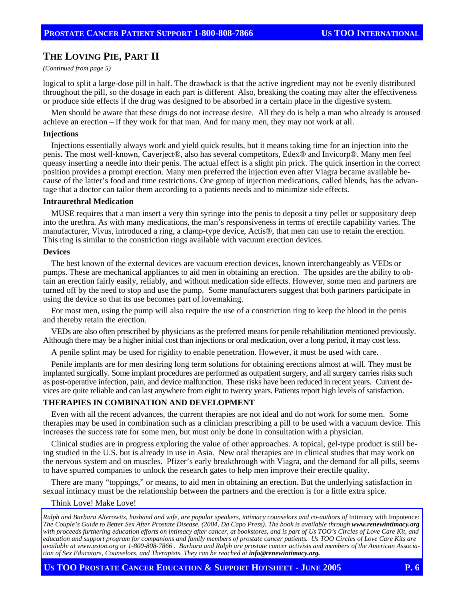# **THE LOVING PIE, PART II**

*(Continued from page 5)* 

logical to split a large-dose pill in half. The drawback is that the active ingredient may not be evenly distributed throughout the pill, so the dosage in each part is different Also, breaking the coating may alter the effectiveness or produce side effects if the drug was designed to be absorbed in a certain place in the digestive system.

Men should be aware that these drugs do not increase desire. All they do is help a man who already is aroused achieve an erection – if they work for that man. And for many men, they may not work at all.

#### **Injections**

Injections essentially always work and yield quick results, but it means taking time for an injection into the penis. The most well-known, Caverject®, also has several competitors, Edex® and Invicorp®. Many men feel queasy inserting a needle into their penis. The actual effect is a slight pin prick. The quick insertion in the correct position provides a prompt erection. Many men preferred the injection even after Viagra became available because of the latter's food and time restrictions. One group of injection medications, called blends, has the advantage that a doctor can tailor them according to a patients needs and to minimize side effects.

#### **Intraurethral Medication**

MUSE requires that a man insert a very thin syringe into the penis to deposit a tiny pellet or suppository deep into the urethra. As with many medications, the man's responsiveness in terms of erectile capability varies. The manufacturer, Vivus, introduced a ring, a clamp-type device, Actis®, that men can use to retain the erection. This ring is similar to the constriction rings available with vacuum erection devices.

#### **Devices**

The best known of the external devices are vacuum erection devices, known interchangeably as VEDs or pumps. These are mechanical appliances to aid men in obtaining an erection. The upsides are the ability to obtain an erection fairly easily, reliably, and without medication side effects. However, some men and partners are turned off by the need to stop and use the pump. Some manufacturers suggest that both partners participate in using the device so that its use becomes part of lovemaking.

For most men, using the pump will also require the use of a constriction ring to keep the blood in the penis and thereby retain the erection.

VEDs are also often prescribed by physicians as the preferred means for penile rehabilitation mentioned previously. Although there may be a higher initial cost than injections or oral medication, over a long period, it may cost less.

A penile splint may be used for rigidity to enable penetration. However, it must be used with care.

Penile implants are for men desiring long term solutions for obtaining erections almost at will. They must be implanted surgically. Some implant procedures are performed as outpatient surgery, and all surgery carries risks such as post-operative infection, pain, and device malfunction. These risks have been reduced in recent years. Current devices are quite reliable and can last anywhere from eight to twenty years. Patients report high levels of satisfaction.

#### **THERAPIES IN COMBINATION AND DEVELOPMENT**

Even with all the recent advances, the current therapies are not ideal and do not work for some men. Some therapies may be used in combination such as a clinician prescribing a pill to be used with a vacuum device. This increases the success rate for some men, but must only be done in consultation with a physician.

Clinical studies are in progress exploring the value of other approaches. A topical, gel-type product is still being studied in the U.S. but is already in use in Asia. New oral therapies are in clinical studies that may work on the nervous system and on muscles. Pfizer's early breakthrough with Viagra, and the demand for all pills, seems to have spurred companies to unlock the research gates to help men improve their erectile quality.

There are many "toppings," or means, to aid men in obtaining an erection. But the underlying satisfaction in sexual intimacy must be the relationship between the partners and the erection is for a little extra spice.

#### Think Love! Make Love!

Ralph and Barbara Alterowitz, husband and wife, are popular speakers, intimacy counselors and co-authors of Intimacy with Impotence: *The Couple's Guide to Better Sex After Prostate Disease, (2004, Da Capo Press). The book is available through www.renewintimacy.org with proceeds furthering education efforts on intimacy after cancer, at bookstores, and is part of Us TOO's Circles of Love Care Kit, and education and support program for companions and family members of prostate cancer patients. Us TOO Circles of Love Care Kits are available at www.ustoo.org or 1-800-808-7866 . Barbara and Ralph are prostate cancer activists and members of the American Association of Sex Educators, Counselors, and Therapists. They can be reached at info@renewintimacy.org.*

**US TOO PROSTATE CANCER EDUCATION & SUPPORT HOTSHEET - JUNE 2005 P. 6**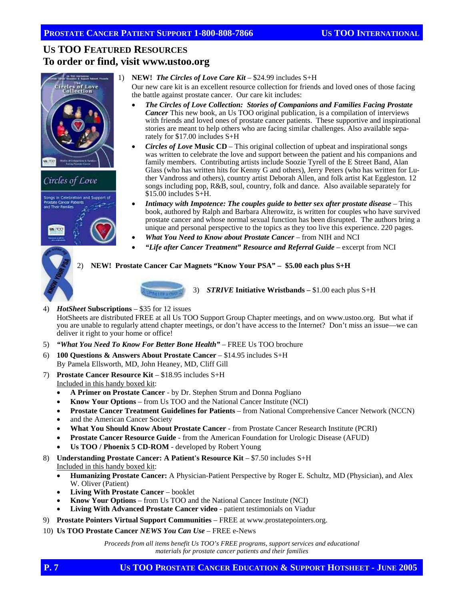# **US TOO FEATURED RESOURCES To order or find, visit www.ustoo.org**



# Circles of Love



1) **NEW!** *The Circles of Love Care Kit* – \$24.99 includes S+H

Our new care kit is an excellent resource collection for friends and loved ones of those facing the battle against prostate cancer. Our care kit includes:

- *The Circles of Love Collection: Stories of Companions and Families Facing Prostate Cancer* This new book, an Us TOO original publication, is a compilation of interviews with friends and loved ones of prostate cancer patients. These supportive and inspirational stories are meant to help others who are facing similar challenges. Also available separately for \$17.00 includes S+H
- *Circles of Love* **Music CD**This original collection of upbeat and inspirational songs was written to celebrate the love and support between the patient and his companions and family members. Contributing artists include Soozie Tyrell of the E Street Band, Alan Glass (who has written hits for Kenny G and others), Jerry Peters (who has written for Luther Vandross and others), country artist Deborah Allen, and folk artist Kat Eggleston. 12 songs including pop, R&B, soul, country, folk and dance. Also available separately for \$15.00 includes S+H.
- *Intimacy with Impotence: The couples guide to better sex after prostate disease* This book, authored by Ralph and Barbara Alterowitz, is written for couples who have survived prostate cancer and whose normal sexual function has been disrupted. The authors bring a unique and personal perspective to the topics as they too live this experience. 220 pages.
- *What You Need to Know about Prostate Cancer* from NIH and NCI
- *"Life after Cancer Treatment" Resource and Referral Guide* excerpt from NCI

#### 2) **NEW! Prostate Cancer Car Magnets "Know Your PSA" – \$5.00 each plus S+H**



3) *STRIVE* **Initiative Wristbands –** \$1.00 each plus S+H

4) *HotSheet* **Subscriptions** – \$35 for 12 issues

HotSheets are distributed FREE at all Us TOO Support Group Chapter meetings, and on www.ustoo.org. But what if you are unable to regularly attend chapter meetings, or don't have access to the Internet? Don't miss an issue—we can deliver it right to your home or office!

- 5) *"What You Need To Know For Better Bone Health"* FREE Us TOO brochure
- 6) **100 Questions & Answers About Prostate Cancer**  \$14.95 includes S+H By Pamela Ellsworth, MD, John Heaney, MD, Cliff Gill
- 7) **Prostate Cancer Resource Kit** \$18.95 includes S+H Included in this handy boxed kit:
	- **A Primer on Prostate Cancer**  by Dr. Stephen Strum and Donna Pogliano
	- **Know Your Options**  from Us TOO and the National Cancer Institute (NCI)
	- **Prostate Cancer Treatment Guidelines for Patients**  from National Comprehensive Cancer Network (NCCN)
	- and the American Cancer Society
	- **What You Should Know About Prostate Cancer**  from Prostate Cancer Research Institute (PCRI)
	- **Prostate Cancer Resource Guide**  from the American Foundation for Urologic Disease (AFUD)
	- **Us TOO / Phoenix 5 CD-ROM**  developed by Robert Young
- 8) **Understanding Prostate Cancer: A Patient's Resource Kit \$7.50 includes S+H** Included in this handy boxed kit:
	- **Humanizing Prostate Cancer:** A Physician-Patient Perspective by Roger E. Schultz, MD (Physician), and Alex W. Oliver (Patient)
	- **Living With Prostate Cancer**  booklet
	- **Know Your Options**  from Us TOO and the National Cancer Institute (NCI)
	- **Living With Advanced Prostate Cancer video**  patient testimonials on Viadur
- 9) **Prostate Pointers Virtual Support Communities**  FREE at www.prostatepointers.org.
- 10) **Us TOO Prostate Cancer** *NEWS You Can Use* FREE e-News

*Proceeds from all items benefit Us TOO's FREE programs, support services and educational materials for prostate cancer patients and their families*